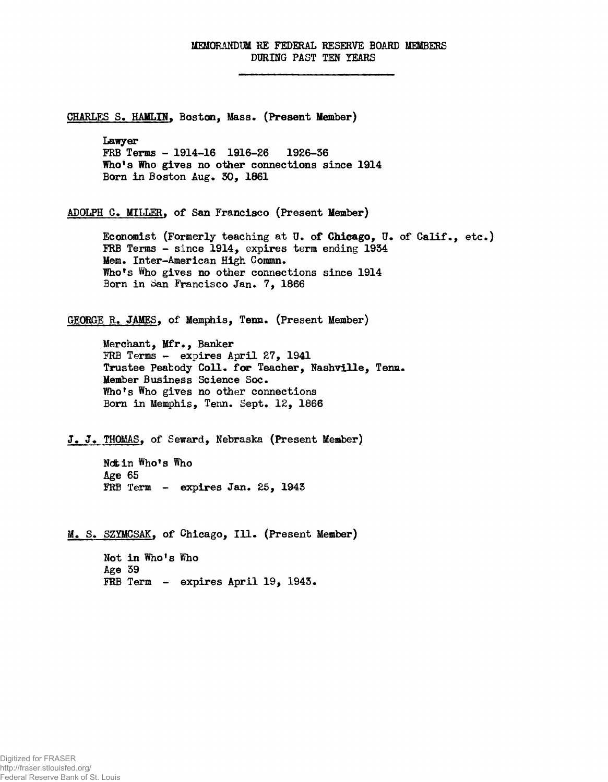## MEMORANDUM HE FEDERAL RESERVE BOARD MEMBERS DURING PAST TEN YEARS

CHARLES S. HAMLIN, Boston, Mass. (Present Member) Lawyer FRB Terms - 1914-16 1916-26 1926-56 Who's Who gives no other connections since 1914 Born in Boston Aug. 30, 1861 ADOLPH C. MILLER, of San Francisco (Present Member) Economist (Formerly teaching at U. of Chicago, JJ. of Calif., etc.) FRB Terms - since 1914, expires term ending 1954 Mem. Inter-American High Commn. Who<sup>f</sup>s Who gives no other connections since 1914 Born in San Francisco Jan. 7, 1866 GEORGE R. JAMES, of Memphis, Tenn. (Present Member) Merchant, Mfr., Banker FRB Terms - expires April 27, 1941 Trustee Peabody Coll. for Teacher, Nashville, Tenn. Member Business Science Soc. Who's Who gives no other connections Born in Memphis, Tenn. Sept. 12, 1866 J. J. THOMAS, of Seward, Nebraska (Present Member) **Ndtin Who's Who Age 65** FRB Term - expires Jan. 25, 1945 M. S. SZYMCSAK, of Chicago, Ill. (Present Member) Not in Who<sup>f</sup>s Who Age 39 FRB Term - expires April 19, 1943.